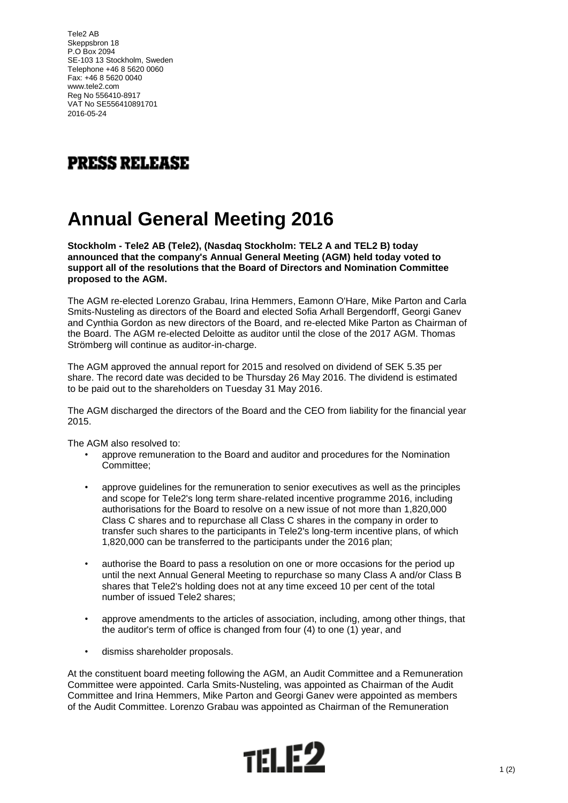Tele2 AB Skeppsbron 18 P.O Box 2094 SE-103 13 Stockholm, Sweden Telephone +46 8 5620 0060 Fax: +46 8 5620 0040 www.tele2.com Reg No 556410-8917 VAT No SE556410891701 2016-05-24



## **Annual General Meeting 2016**

**Stockholm - Tele2 AB (Tele2), (Nasdaq Stockholm: TEL2 A and TEL2 B) today announced that the company's Annual General Meeting (AGM) held today voted to support all of the resolutions that the Board of Directors and Nomination Committee proposed to the AGM.**

The AGM re-elected Lorenzo Grabau, Irina Hemmers, Eamonn O'Hare, Mike Parton and Carla Smits-Nusteling as directors of the Board and elected Sofia Arhall Bergendorff, Georgi Ganev and Cynthia Gordon as new directors of the Board, and re-elected Mike Parton as Chairman of the Board. The AGM re-elected Deloitte as auditor until the close of the 2017 AGM. Thomas Strömberg will continue as auditor-in-charge.

The AGM approved the annual report for 2015 and resolved on dividend of SEK 5.35 per share. The record date was decided to be Thursday 26 May 2016. The dividend is estimated to be paid out to the shareholders on Tuesday 31 May 2016.

The AGM discharged the directors of the Board and the CEO from liability for the financial year 2015.

The AGM also resolved to:

- approve remuneration to the Board and auditor and procedures for the Nomination Committee;
- approve guidelines for the remuneration to senior executives as well as the principles and scope for Tele2's long term share-related incentive programme 2016, including authorisations for the Board to resolve on a new issue of not more than 1,820,000 Class C shares and to repurchase all Class C shares in the company in order to transfer such shares to the participants in Tele2's long-term incentive plans, of which 1,820,000 can be transferred to the participants under the 2016 plan;
- authorise the Board to pass a resolution on one or more occasions for the period up until the next Annual General Meeting to repurchase so many Class A and/or Class B shares that Tele2's holding does not at any time exceed 10 per cent of the total number of issued Tele2 shares;
- approve amendments to the articles of association, including, among other things, that the auditor's term of office is changed from four (4) to one (1) year, and
- dismiss shareholder proposals.

At the constituent board meeting following the AGM, an Audit Committee and a Remuneration Committee were appointed. Carla Smits-Nusteling, was appointed as Chairman of the Audit Committee and Irina Hemmers, Mike Parton and Georgi Ganev were appointed as members of the Audit Committee. Lorenzo Grabau was appointed as Chairman of the Remuneration